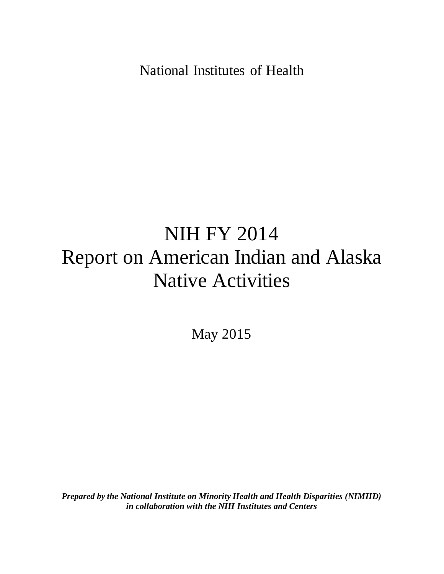National Institutes of Health

# NIH FY 2014 Report on American Indian and Alaska Native Activities

May 2015

*Prepared by the National Institute on Minority Health and Health Disparities (NIMHD) in collaboration with the NIH Institutes and Centers*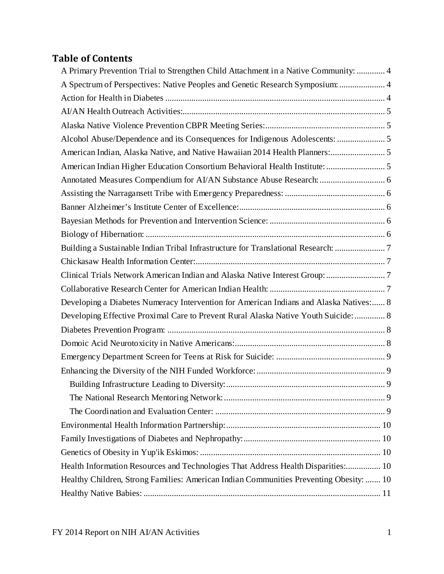# **Table of Contents**

| A Primary Prevention Trial to Strengthen Child Attachment in a Native Community:  4    |  |
|----------------------------------------------------------------------------------------|--|
| A Spectrum of Perspectives: Native Peoples and Genetic Research Symposium:  4          |  |
|                                                                                        |  |
|                                                                                        |  |
|                                                                                        |  |
| Alcohol Abuse/Dependence and its Consequences for Indigenous Adolescents:  5           |  |
| American Indian, Alaska Native, and Native Hawaiian 2014 Health Planners: 5            |  |
|                                                                                        |  |
| Annotated Measures Compendium for AI/AN Substance Abuse Research:  6                   |  |
|                                                                                        |  |
|                                                                                        |  |
|                                                                                        |  |
|                                                                                        |  |
| Building a Sustainable Indian Tribal Infrastructure for Translational Research: 7      |  |
|                                                                                        |  |
|                                                                                        |  |
|                                                                                        |  |
| Developing a Diabetes Numeracy Intervention for American Indians and Alaska Natives: 8 |  |
| Developing Effective Proximal Care to Prevent Rural Alaska Native Youth Suicide:  8    |  |
|                                                                                        |  |
|                                                                                        |  |
|                                                                                        |  |
|                                                                                        |  |
|                                                                                        |  |
|                                                                                        |  |
|                                                                                        |  |
|                                                                                        |  |
|                                                                                        |  |
|                                                                                        |  |
| Health Information Resources and Technologies That Address Health Disparities: 10      |  |
| Healthy Children, Strong Families: American Indian Communities Preventing Obesity:  10 |  |
|                                                                                        |  |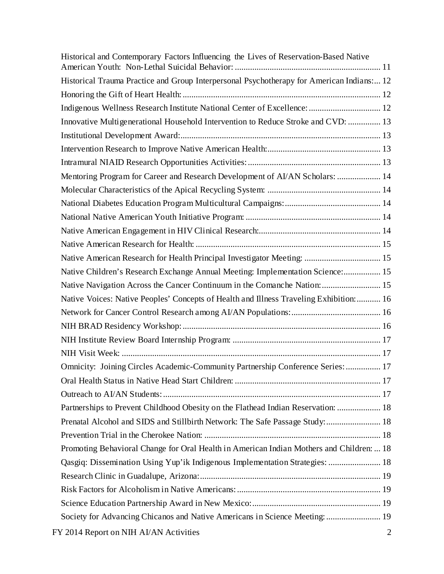| Historical and Contemporary Factors Influencing the Lives of Reservation-Based Native     |
|-------------------------------------------------------------------------------------------|
| Historical Trauma Practice and Group Interpersonal Psychotherapy for American Indians: 12 |
|                                                                                           |
| Indigenous Wellness Research Institute National Center of Excellence:  12                 |
| Innovative Multigenerational Household Intervention to Reduce Stroke and CVD:  13         |
|                                                                                           |
|                                                                                           |
|                                                                                           |
| Mentoring Program for Career and Research Development of AI/AN Scholars:  14              |
|                                                                                           |
|                                                                                           |
|                                                                                           |
|                                                                                           |
|                                                                                           |
| Native American Research for Health Principal Investigator Meeting:  15                   |
| Native Children's Research Exchange Annual Meeting: Implementation Science: 15            |
| Native Navigation Across the Cancer Continuum in the Comanche Nation:  15                 |
| Native Voices: Native Peoples' Concepts of Health and Illness Traveling Exhibition:  16   |
|                                                                                           |
|                                                                                           |
|                                                                                           |
|                                                                                           |
| Omnicity: Joining Circles Academic-Community Partnership Conference Series:  17           |
|                                                                                           |
|                                                                                           |
| Partnerships to Prevent Childhood Obesity on the Flathead Indian Reservation:  18         |
| Prenatal Alcohol and SIDS and Stillbirth Network: The Safe Passage Study:  18             |
|                                                                                           |
| Promoting Behavioral Change for Oral Health in American Indian Mothers and Children:  18  |
| Qasgiq: Dissemination Using Yup'ik Indigenous Implementation Strategies:  18              |
|                                                                                           |
|                                                                                           |
|                                                                                           |
| Society for Advancing Chicanos and Native Americans in Science Meeting:  19               |
| FY 2014 Report on NIH AI/AN Activities<br>$\overline{2}$                                  |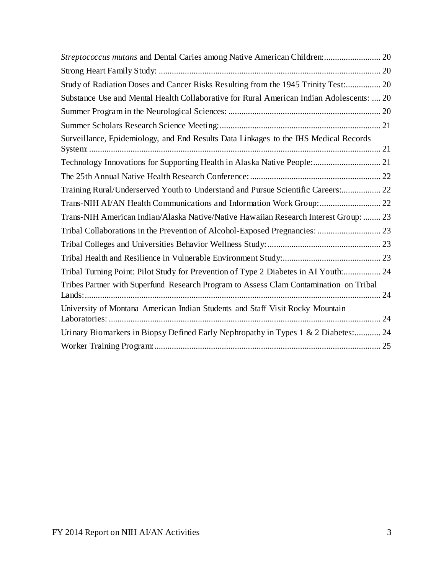| Study of Radiation Doses and Cancer Risks Resulting from the 1945 Trinity Test: 20       |    |
|------------------------------------------------------------------------------------------|----|
| Substance Use and Mental Health Collaborative for Rural American Indian Adolescents:  20 |    |
|                                                                                          |    |
|                                                                                          |    |
| Surveillance, Epidemiology, and End Results Data Linkages to the IHS Medical Records     |    |
|                                                                                          |    |
|                                                                                          |    |
| Training Rural/Underserved Youth to Understand and Pursue Scientific Careers: 22         |    |
| Trans-NIH AI/AN Health Communications and Information Work Group: 22                     |    |
| Trans-NIH American Indian/Alaska Native/Native Hawaiian Research Interest Group:  23     |    |
|                                                                                          |    |
|                                                                                          |    |
|                                                                                          |    |
| Tribal Turning Point: Pilot Study for Prevention of Type 2 Diabetes in AI Youth: 24      |    |
| Tribes Partner with Superfund Research Program to Assess Clam Contamination on Tribal    | 24 |
| University of Montana American Indian Students and Staff Visit Rocky Mountain            |    |
| Urinary Biomarkers in Biopsy Defined Early Nephropathy in Types 1 & 2 Diabetes: 24       |    |
|                                                                                          |    |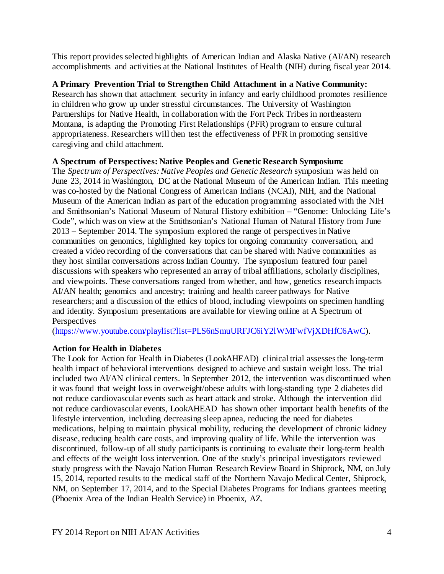This report provides selected highlights of American Indian and Alaska Native (AI/AN) research accomplishments and activities at the National Institutes of Health (NIH) during fiscal year 2014.

# <span id="page-4-0"></span>**A Primary Prevention Trial to Strengthen Child Attachment in a Native Community:**

Research has shown that attachment security in infancy and early childhood promotes resilience in children who grow up under stressful circumstances. The University of Washington Partnerships for Native Health, in collaboration with the Fort Peck Tribes in northeastern Montana, is adapting the Promoting First Relationships (PFR) program to ensure cultural appropriateness. Researchers will then test the effectiveness of PFR in promoting sensitive caregiving and child attachment.

# <span id="page-4-1"></span>**A Spectrum of Perspectives: Native Peoples and Genetic Research Symposium:**

The *Spectrum of Perspectives: Native Peoples and Genetic Research* symposium was held on June 23, 2014 in Washington, DC at the National Museum of the American Indian. This meeting was co-hosted by the National Congress of American Indians (NCAI), NIH, and the National Museum of the American Indian as part of the education programming associated with the NIH and Smithsonian's National Museum of Natural History exhibition – "Genome: Unlocking Life's Code", which was on view at the Smithsonian's National Human of Natural History from June 2013 – September 2014. The symposium explored the range of perspectives in Native communities on genomics, highlighted key topics for ongoing community conversation, and created a video recording of the conversations that can be shared with Native communities as they host similar conversations across Indian Country. The symposium featured four panel discussions with speakers who represented an array of tribal affiliations, scholarly disciplines, and viewpoints. These conversations ranged from whether, and how, genetics research impacts AI/AN health; genomics and ancestry; training and health career pathways for Native researchers; and a discussion of the ethics of blood, including viewpoints on specimen handling and identity. Symposium presentations are available for viewing online at A Spectrum of **Perspectives** 

[\(https://www.youtube.com/playlist?list=PLS6nSmuURFJC6iY2lWMFwfVjXDHfC6AwC\).](https://www.youtube.com/playlist?list=PLS6nSmuURFJC6iY2lWMFwfVjXDHfC6AwC)

# <span id="page-4-2"></span>**Action for Health in Diabetes**

The Look for Action for Health in Diabetes (LookAHEAD) clinical trial assesses the long-term health impact of behavioral interventions designed to achieve and sustain weight loss. The trial included two AI/AN clinical centers. In September 2012, the intervention was discontinued when it was found that weight loss in overweight/obese adults with long-standing type 2 diabetes did not reduce cardiovascular events such as heart attack and stroke. Although the intervention did not reduce cardiovascular events, LookAHEAD has shown other important health benefits of the lifestyle intervention, including decreasing sleep apnea, reducing the need for diabetes medications, helping to maintain physical mobility, reducing the development of chronic kidney disease, reducing health care costs, and improving quality of life. While the intervention was discontinued, follow-up of all study participants is continuing to evaluate their long-term health and effects of the weight loss intervention. One of the study's principal investigators reviewed study progress with the Navajo Nation Human Research Review Board in Shiprock, NM, on July 15, 2014, reported results to the medical staff of the Northern Navajo Medical Center, Shiprock, NM, on September 17, 2014, and to the Special Diabetes Programs for Indians grantees meeting (Phoenix Area of the Indian Health Service) in Phoenix, AZ.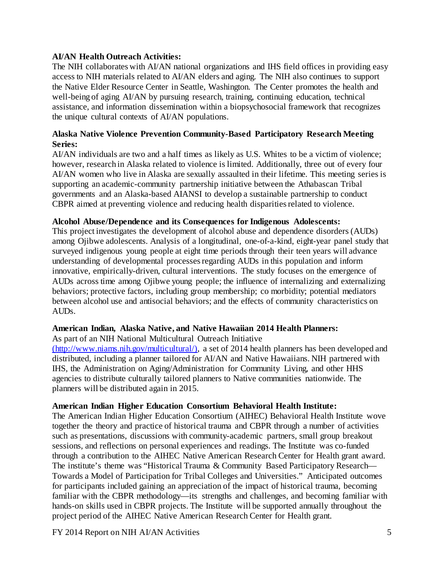#### <span id="page-5-0"></span>**AI/AN Health Outreach Activities:**

The NIH collaborates with AI/AN national organizations and IHS field offices in providing easy access to NIH materials related to AI/AN elders and aging. The NIH also continues to support the Native Elder Resource Center in Seattle, Washington. The Center promotes the health and well-being of aging AI/AN by pursuing research, training, continuing education, technical assistance, and information dissemination within a biopsychosocial framework that recognizes the unique cultural contexts of AI/AN populations.

# <span id="page-5-1"></span>**Alaska Native Violence Prevention Community-Based Participatory Research Meeting Series:**

AI/AN individuals are two and a half times as likely as U.S. Whites to be a victim of violence; however, research in Alaska related to violence is limited. Additionally, three out of every four AI/AN women who live in Alaska are sexually assaulted in their lifetime. This meeting series is supporting an academic-community partnership initiative between the Athabascan Tribal governments and an Alaska-based AIANSI to develop a sustainable partnership to conduct CBPR aimed at preventing violence and reducing health disparities related to violence.

#### <span id="page-5-2"></span>**Alcohol Abuse/Dependence and its Consequences for Indigenous Adolescents:**

This project investigates the development of alcohol abuse and dependence disorders (AUDs) among Ojibwe adolescents. Analysis of a longitudinal, one-of-a-kind, eight-year panel study that surveyed indigenous young people at eight time periods through their teen years will advance understanding of developmental processes regarding AUDs in this population and inform innovative, empirically-driven, cultural interventions. The study focuses on the emergence of AUDs across time among Ojibwe young people; the influence of internalizing and externalizing behaviors; protective factors, including group membership; co morbidity; potential mediators between alcohol use and antisocial behaviors; and the effects of community characteristics on AUDs.

#### <span id="page-5-3"></span>**American Indian, Alaska Native, and Native Hawaiian 2014 Health Planners:**

As part of an NIH National Multicultural Outreach Initiative

(http://www.niams.nih.gov/multicultural/), a set of 2014 health planners has been developed and distributed, including a planner tailored for AI/AN and Native Hawaiians. NIH partnered with IHS, the Administration on Aging/Administration for Community Living, and other HHS agencies to distribute culturally tailored planners to Native communities nationwide. The planners will be distributed again in 2015.

#### <span id="page-5-4"></span>**American Indian Higher Education Consortium Behavioral Health Institute:**

The American Indian Higher Education Consortium (AIHEC) Behavioral Health Institute wove together the theory and practice of historical trauma and CBPR through a number of activities such as presentations, discussions with community-academic partners, small group breakout sessions, and reflections on personal experiences and readings. The Institute was co-funded through a contribution to the AIHEC Native American Research Center for Health grant award. The institute's theme was "Historical Trauma & Community Based Participatory Research— Towards a Model of Participation for Tribal Colleges and Universities." Anticipated outcomes for participants included gaining an appreciation of the impact of historical trauma, becoming familiar with the CBPR methodology—its strengths and challenges, and becoming familiar with hands-on skills used in CBPR projects. The Institute will be supported annually throughout the project period of the AIHEC Native American Research Center for Health grant.

FY 2014 Report on NIH AI/AN Activities 5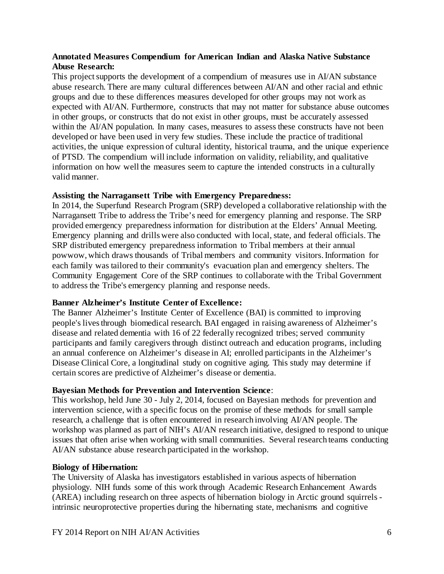#### <span id="page-6-0"></span>**Annotated Measures Compendium for American Indian and Alaska Native Substance Abuse Research:**

This project supports the development of a compendium of measures use in AI/AN substance abuse research. There are many cultural differences between AI/AN and other racial and ethnic groups and due to these differences measures developed for other groups may not work as expected with AI/AN. Furthermore, constructs that may not matter for substance abuse outcomes in other groups, or constructs that do not exist in other groups, must be accurately assessed within the AI/AN population. In many cases, measures to assess these constructs have not been developed or have been used in very few studies. These include the practice of traditional activities, the unique expression of cultural identity, historical trauma, and the unique experience of PTSD. The compendium will include information on validity, reliability, and qualitative information on how well the measures seem to capture the intended constructs in a culturally valid manner.

#### <span id="page-6-1"></span>**Assisting the Narragansett Tribe with Emergency Preparedness:**

In 2014, the Superfund Research Program (SRP) developed a collaborative relationship with the Narragansett Tribe to address the Tribe's need for emergency planning and response. The SRP provided emergency preparedness information for distribution at the Elders' Annual Meeting. Emergency planning and drills were also conducted with local, state, and federal officials. The SRP distributed emergency preparedness information to Tribal members at their annual powwow, which draws thousands of Tribal members and community visitors. Information for each family was tailored to their community's evacuation plan and emergency shelters. The Community Engagement Core of the SRP continues to collaborate with the Tribal Government to address the Tribe's emergency planning and response needs.

# <span id="page-6-2"></span>**Banner Alzheimer's Institute Center of Excellence:**

The Banner Alzheimer's Institute Center of Excellence (BAI) is committed to improving people's lives through biomedical research. BAI engaged in raising awareness of Alzheimer's disease and related dementia with 16 of 22 federally recognized tribes; served community participants and family caregivers through distinct outreach and education programs, including an annual conference on Alzheimer's disease in AI; enrolled participants in the Alzheimer's Disease Clinical Core, a longitudinal study on cognitive aging. This study may determine if certain scores are predictive of Alzheimer's disease or dementia.

#### <span id="page-6-3"></span>**Bayesian Methods for Prevention and Intervention Science**:

This workshop, held June 30 - July 2, 2014, focused on Bayesian methods for prevention and intervention science, with a specific focus on the promise of these methods for small sample research, a challenge that is often encountered in research involving AI/AN people. The workshop was planned as part of NIH's AI/AN research initiative, designed to respond to unique issues that often arise when working with small communities. Several research teams conducting AI/AN substance abuse research participated in the workshop.

#### <span id="page-6-4"></span>**Biology of Hibernation:**

The University of Alaska has investigators established in various aspects of hibernation physiology. NIH funds some of this work through Academic Research Enhancement Awards (AREA) including research on three aspects of hibernation biology in Arctic ground squirrels intrinsic neuroprotective properties during the hibernating state, mechanisms and cognitive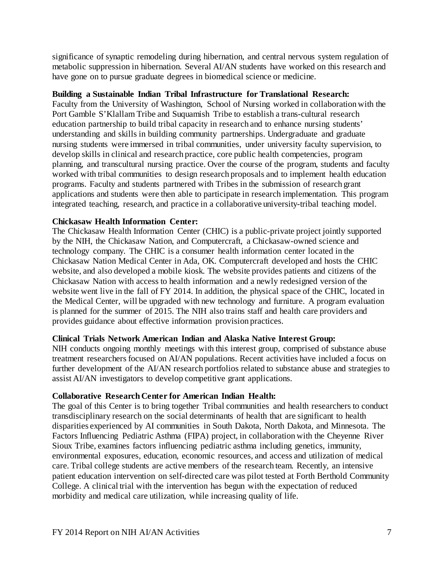significance of synaptic remodeling during hibernation, and central nervous system regulation of metabolic suppression in hibernation. Several AI/AN students have worked on this research and have gone on to pursue graduate degrees in biomedical science or medicine.

#### <span id="page-7-0"></span>**Building a Sustainable Indian Tribal Infrastructure for Translational Research:**

Faculty from the University of Washington, School of Nursing worked in collaboration with the Port Gamble S'Klallam Tribe and Suquamish Tribe to establish a trans-cultural research education partnership to build tribal capacity in research and to enhance nursing students' understanding and skills in building community partnerships. Undergraduate and graduate nursing students were immersed in tribal communities, under university faculty supervision, to develop skills in clinical and research practice, core public health competencies, program planning, and transcultural nursing practice. Over the course of the program, students and faculty worked with tribal communities to design research proposals and to implement health education programs. Faculty and students partnered with Tribes in the submission of research grant applications and students were then able to participate in research implementation. This program integrated teaching, research, and practice in a collaborative university-tribal teaching model.

#### <span id="page-7-1"></span>**Chickasaw Health Information Center:**

The Chickasaw Health Information Center (CHIC) is a public-private project jointly supported by the NIH, the Chickasaw Nation, and Computercraft, a Chickasaw-owned science and technology company. The CHIC is a consumer health information center located in the Chickasaw Nation Medical Center in Ada, OK. Computercraft developed and hosts the CHIC website, and also developed a mobile kiosk. The website provides patients and citizens of the Chickasaw Nation with access to health information and a newly redesigned version of the website went live in the fall of FY 2014. In addition, the physical space of the CHIC, located in the Medical Center, will be upgraded with new technology and furniture. A program evaluation is planned for the summer of 2015. The NIH also trains staff and health care providers and provides guidance about effective information provision practices.

#### <span id="page-7-2"></span>**Clinical Trials Network American Indian and Alaska Native Interest Group:**

NIH conducts ongoing monthly meetings with this interest group, comprised of substance abuse treatment researchers focused on AI/AN populations. Recent activities have included a focus on further development of the AI/AN research portfolios related to substance abuse and strategies to assist AI/AN investigators to develop competitive grant applications.

#### <span id="page-7-3"></span>**Collaborative Research Center for American Indian Health:**

The goal of this Center is to bring together Tribal communities and health researchers to conduct transdisciplinary research on the social determinants of health that are significant to health disparities experienced by AI communities in South Dakota, North Dakota, and Minnesota. The Factors Influencing Pediatric Asthma (FIPA) project, in collaboration with the Cheyenne River Sioux Tribe, examines factors influencing pediatric asthma including genetics, immunity, environmental exposures, education, economic resources, and access and utilization of medical care. Tribal college students are active members of the research team. Recently, an intensive patient education intervention on self-directed care was pilot tested at Forth Berthold Community College. A clinical trial with the intervention has begun with the expectation of reduced morbidity and medical care utilization, while increasing quality of life.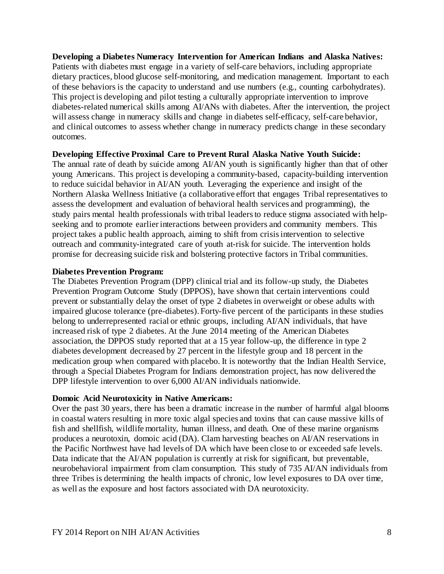<span id="page-8-0"></span>**Developing a Diabetes Numeracy Intervention for American Indians and Alaska Natives:** Patients with diabetes must engage in a variety of self-care behaviors, including appropriate dietary practices, blood glucose self-monitoring, and medication management. Important to each of these behaviors is the capacity to understand and use numbers (e.g., counting carbohydrates). This project is developing and pilot testing a culturally appropriate intervention to improve diabetes-related numerical skills among AI/ANs with diabetes. After the intervention, the project will assess change in numeracy skills and change in diabetes self-efficacy, self-care behavior, and clinical outcomes to assess whether change in numeracy predicts change in these secondary outcomes.

#### <span id="page-8-1"></span>**Developing Effective Proximal Care to Prevent Rural Alaska Native Youth Suicide:**

The annual rate of death by suicide among AI/AN youth is significantly higher than that of other young Americans. This project is developing a community-based, capacity-building intervention to reduce suicidal behavior in AI/AN youth. Leveraging the experience and insight of the Northern Alaska Wellness Initiative (a collaborative effort that engages Tribal representatives to assess the development and evaluation of behavioral health services and programming), the study pairs mental health professionals with tribal leaders to reduce stigma associated with helpseeking and to promote earlier interactions between providers and community members. This project takes a public health approach, aiming to shift from crisis intervention to selective outreach and community-integrated care of youth at-risk for suicide. The intervention holds promise for decreasing suicide risk and bolstering protective factors in Tribal communities.

#### <span id="page-8-2"></span>**Diabetes Prevention Program:**

The Diabetes Prevention Program (DPP) clinical trial and its follow-up study, the Diabetes Prevention Program Outcome Study (DPPOS), have shown that certain interventions could prevent or substantially delay the onset of type 2 diabetes in overweight or obese adults with impaired glucose tolerance (pre-diabetes). Forty-five percent of the participants in these studies belong to underrepresented racial or ethnic groups, including AI/AN individuals, that have increased risk of type 2 diabetes. At the June 2014 meeting of the American Diabetes association, the DPPOS study reported that at a 15 year follow-up, the difference in type 2 diabetes development decreased by 27 percent in the lifestyle group and 18 percent in the medication group when compared with placebo. It is noteworthy that the Indian Health Service, through a Special Diabetes Program for Indians demonstration project, has now delivered the DPP lifestyle intervention to over 6,000 AI/AN individuals nationwide.

#### <span id="page-8-3"></span>**Domoic Acid Neurotoxicity in Native Americans:**

Over the past 30 years, there has been a dramatic increase in the number of harmful algal blooms in coastal waters resulting in more toxic algal species and toxins that can cause massive kills of fish and shellfish, wildlife mortality, human illness, and death. One of these marine organisms produces a neurotoxin, domoic acid (DA). Clam harvesting beaches on AI/AN reservations in the Pacific Northwest have had levels of DA which have been close to or exceeded safe levels. Data indicate that the AI/AN population is currently at risk for significant, but preventable, neurobehavioral impairment from clam consumption. This study of 735 AI/AN individuals from three Tribes is determining the health impacts of chronic, low level exposures to DA over time, as well as the exposure and host factors associated with DA neurotoxicity.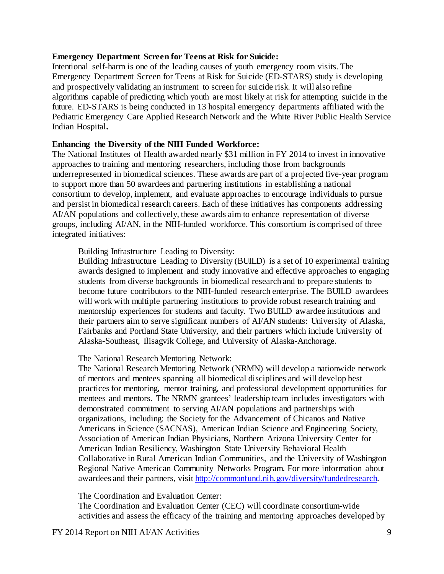#### <span id="page-9-0"></span>**Emergency Department Screen for Teens at Risk for Suicide:**

Intentional self-harm is one of the leading causes of youth emergency room visits. The Emergency Department Screen for Teens at Risk for Suicide (ED-STARS) study is developing and prospectively validating an instrument to screen for suicide risk. It will also refine algorithms capable of predicting which youth are most likely at risk for attempting suicide in the future. ED-STARS is being conducted in 13 hospital emergency departments affiliated with the Pediatric Emergency Care Applied Research Network and the White River Public Health Service Indian Hospital**.**

#### <span id="page-9-1"></span>**Enhancing the Diversity of the NIH Funded Workforce:**

The National Institutes of Health awarded nearly \$31 million in FY 2014 to invest in innovative approaches to training and mentoring researchers, including those from backgrounds underrepresented in biomedical sciences. These awards are part of a projected five-year program to support more than 50 awardees and partnering institutions in establishing a national consortium to develop, implement, and evaluate approaches to encourage individuals to pursue and persist in biomedical research careers. Each of these initiatives has components addressing AI/AN populations and collectively, these awards aim to enhance representation of diverse groups, including AI/AN, in the NIH-funded workforce. This consortium is comprised of three integrated initiatives:

<span id="page-9-2"></span>Building Infrastructure Leading to Diversity:

Building Infrastructure Leading to Diversity (BUILD) is a set of 10 experimental training awards designed to implement and study innovative and effective approaches to engaging students from diverse backgrounds in biomedical research and to prepare students to become future contributors to the NIH-funded research enterprise. The BUILD awardees will work with multiple partnering institutions to provide robust research training and mentorship experiences for students and faculty. Two BUILD awardee institutions and their partners aim to serve significant numbers of AI/AN students: University of Alaska, Fairbanks and Portland State University, and their partners which include University of Alaska-Southeast, Ilisagvik College, and University of Alaska-Anchorage.

<span id="page-9-3"></span>The National Research Mentoring Network:

The National Research Mentoring Network (NRMN) will develop a nationwide network of mentors and mentees spanning all biomedical disciplines and will develop best practices for mentoring, mentor training, and professional development opportunities for mentees and mentors. The NRMN grantees' leadership team includes investigators with demonstrated commitment to serving AI/AN populations and partnerships with organizations, including: the Society for the Advancement of Chicanos and Native Americans in Science (SACNAS), American Indian Science and Engineering Society, Association of American Indian Physicians, Northern Arizona University Center for American Indian Resiliency, Washington State University Behavioral Health Collaborative in Rural American Indian Communities, and the University of Washington Regional Native American Community Networks Program. For more information about awardees and their partners, visit [http://commonfund.nih.gov/diversity/fundedresearch.](http://commonfund.nih.gov/diversity/fundedresearch)

<span id="page-9-4"></span>The Coordination and Evaluation Center:

The Coordination and Evaluation Center (CEC) will coordinate consortium-wide activities and assess the efficacy of the training and mentoring approaches developed by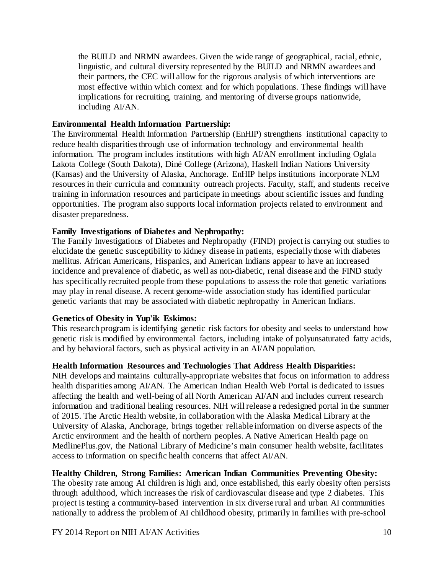the BUILD and NRMN awardees. Given the wide range of geographical, racial, ethnic, linguistic, and cultural diversity represented by the BUILD and NRMN awardees and their partners, the CEC will allow for the rigorous analysis of which interventions are most effective within which context and for which populations. These findings will have implications for recruiting, training, and mentoring of diverse groups nationwide, including AI/AN.

#### <span id="page-10-0"></span>**Environmental Health Information Partnership:**

The Environmental Health Information Partnership (EnHIP) strengthens institutional capacity to reduce health disparities through use of information technology and environmental health information. The program includes institutions with high AI/AN enrollment including Oglala Lakota College (South Dakota), Diné College (Arizona), Haskell Indian Nations University (Kansas) and the University of Alaska, Anchorage. EnHIP helps institutions incorporate NLM resources in their curricula and community outreach projects. Faculty, staff, and students receive training in information resources and participate in meetings about scientific issues and funding opportunities. The program also supports local information projects related to environment and disaster preparedness.

#### <span id="page-10-1"></span>**Family Investigations of Diabetes and Nephropathy:**

The Family Investigations of Diabetes and Nephropathy (FIND) project is carrying out studies to elucidate the genetic susceptibility to kidney disease in patients, especially those with diabetes mellitus. African Americans, Hispanics, and American Indians appear to have an increased incidence and prevalence of diabetic, as well as non-diabetic, renal disease and the FIND study has specifically recruited people from these populations to assess the role that genetic variations may play in renal disease. A recent genome-wide association study has identified particular genetic variants that may be associated with diabetic nephropathy in American Indians.

# <span id="page-10-2"></span>**Genetics of Obesity in Yup'ik Eskimos:**

This research program is identifying genetic risk factors for obesity and seeks to understand how genetic risk is modified by environmental factors, including intake of polyunsaturated fatty acids, and by behavioral factors, such as physical activity in an AI/AN population.

#### <span id="page-10-3"></span>**Health Information Resources and Technologies That Address Health Disparities:**

NIH develops and maintains culturally-appropriate websites that focus on information to address health disparities among AI/AN. The American Indian Health Web Portal is dedicated to issues affecting the health and well-being of all North American AI/AN and includes current research information and traditional healing resources. NIH will release a redesigned portal in the summer of 2015. The Arctic Health website, in collaboration with the Alaska Medical Library at the University of Alaska, Anchorage, brings together reliable information on diverse aspects of the Arctic environment and the health of northern peoples. A Native American Health page on MedlinePlus.gov, the National Library of Medicine's main consumer health website, facilitates access to information on specific health concerns that affect AI/AN.

# <span id="page-10-4"></span>**Healthy Children, Strong Families: American Indian Communities Preventing Obesity:**

The obesity rate among AI children is high and, once established, this early obesity often persists through adulthood, which increases the risk of cardiovascular disease and type 2 diabetes. This project is testing a community-based intervention in six diverse rural and urban AI communities nationally to address the problem of AI childhood obesity, primarily in families with pre-school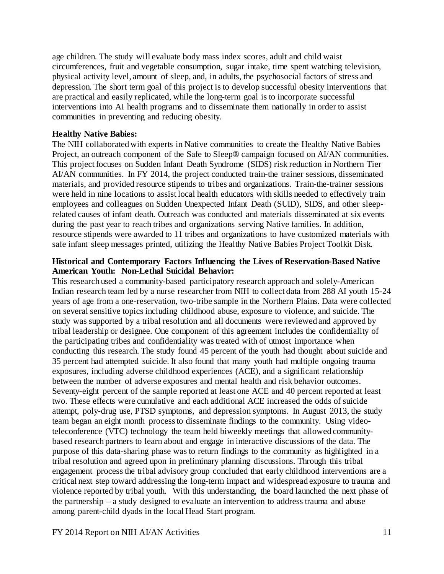age children. The study will evaluate body mass index scores, adult and child waist circumferences, fruit and vegetable consumption, sugar intake, time spent watching television, physical activity level, amount of sleep, and, in adults, the psychosocial factors of stress and depression. The short term goal of this project is to develop successful obesity interventions that are practical and easily replicated, while the long-term goal is to incorporate successful interventions into AI health programs and to disseminate them nationally in order to assist communities in preventing and reducing obesity.

#### <span id="page-11-0"></span>**Healthy Native Babies:**

The NIH collaborated with experts in Native communities to create the Healthy Native Babies Project, an outreach component of the Safe to Sleep® campaign focused on AI/AN communities. This project focuses on Sudden Infant Death Syndrome (SIDS) risk reduction in Northern Tier AI/AN communities. In FY 2014, the project conducted train-the trainer sessions, disseminated materials, and provided resource stipends to tribes and organizations. Train-the-trainer sessions were held in nine locations to assist local health educators with skills needed to effectively train employees and colleagues on Sudden Unexpected Infant Death (SUID), SIDS, and other sleeprelated causes of infant death. Outreach was conducted and materials disseminated at six events during the past year to reach tribes and organizations serving Native families. In addition, resource stipends were awarded to 11 tribes and organizations to have customized materials with safe infant sleep messages printed, utilizing the Healthy Native Babies Project Toolkit Disk.

#### <span id="page-11-1"></span>**Historical and Contemporary Factors Influencing the Lives of Reservation-Based Native American Youth: Non-Lethal Suicidal Behavior:**

This research used a community-based participatory research approach and solely-American Indian research team led by a nurse researcher from NIH to collect data from 288 AI youth 15-24 years of age from a one-reservation, two-tribe sample in the Northern Plains. Data were collected on several sensitive topics including childhood abuse, exposure to violence, and suicide. The study was supported by a tribal resolution and all documents were reviewed and approved by tribal leadership or designee. One component of this agreement includes the confidentiality of the participating tribes and confidentiality was treated with of utmost importance when conducting this research. The study found 45 percent of the youth had thought about suicide and 35 percent had attempted suicide. It also found that many youth had multiple ongoing trauma exposures, including adverse childhood experiences (ACE), and a significant relationship between the number of adverse exposures and mental health and risk behavior outcomes. Seventy-eight percent of the sample reported at least one ACE and 40 percent reported at least two. These effects were cumulative and each additional ACE increased the odds of suicide attempt, poly-drug use, PTSD symptoms, and depression symptoms. In August 2013, the study team began an eight month process to disseminate findings to the community. Using videoteleconference (VTC) technology the team held biweekly meetings that allowed communitybased research partners to learn about and engage in interactive discussions of the data. The purpose of this data-sharing phase was to return findings to the community as highlighted in a tribal resolution and agreed upon in preliminary planning discussions. Through this tribal engagement process the tribal advisory group concluded that early childhood interventions are a critical next step toward addressing the long-term impact and widespread exposure to trauma and violence reported by tribal youth. With this understanding, the board launched the next phase of the partnership – a study designed to evaluate an intervention to address trauma and abuse among parent-child dyads in the local Head Start program.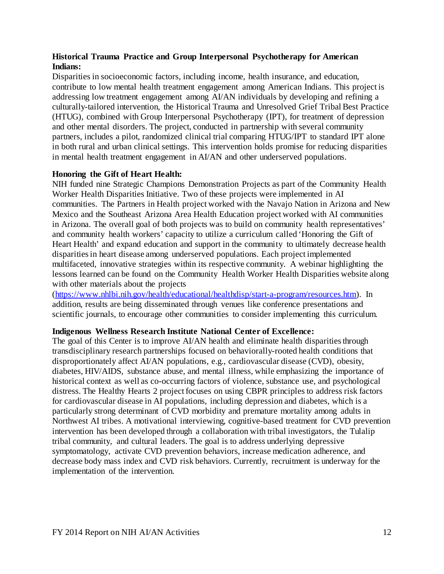# <span id="page-12-0"></span>**Historical Trauma Practice and Group Interpersonal Psychotherapy for American Indians:**

Disparities in socioeconomic factors, including income, health insurance, and education, contribute to low mental health treatment engagement among American Indians. This project is addressing low treatment engagement among AI/AN individuals by developing and refining a culturally-tailored intervention, the Historical Trauma and Unresolved Grief Tribal Best Practice (HTUG), combined with Group Interpersonal Psychotherapy (IPT), for treatment of depression and other mental disorders. The project, conducted in partnership with several community partners, includes a pilot, randomized clinical trial comparing HTUG/IPT to standard IPT alone in both rural and urban clinical settings. This intervention holds promise for reducing disparities in mental health treatment engagement in AI/AN and other underserved populations.

#### <span id="page-12-1"></span>**Honoring the Gift of Heart Health:**

NIH funded nine Strategic Champions Demonstration Projects as part of the Community Health Worker Health Disparities Initiative. Two of these projects were implemented in AI communities. The Partners in Health project worked with the Navajo Nation in Arizona and New Mexico and the Southeast Arizona Area Health Education project worked with AI communities in Arizona. The overall goal of both projects was to build on community health representatives' and community health workers' capacity to utilize a curriculum called 'Honoring the Gift of Heart Health' and expand education and support in the community to ultimately decrease health disparities in heart disease among underserved populations. Each project implemented multifaceted, innovative strategies within its respective community. A webinar highlighting the lessons learned can be found on the Community Health Worker Health Disparities website along with other materials about the projects

[\(https://www.nhlbi.nih.gov/health/educational/healthdisp/start-a-program/resources.htm\).](https://www.nhlbi.nih.gov/health/educational/healthdisp/start-a-program/resources.htm) In addition, results are being disseminated through venues like conference presentations and scientific journals, to encourage other communities to consider implementing this curriculum.

#### <span id="page-12-2"></span>**Indigenous Wellness Research Institute National Center of Excellence:**

The goal of this Center is to improve AI/AN health and eliminate health disparities through transdisciplinary research partnerships focused on behaviorally-rooted health conditions that disproportionately affect AI/AN populations, e.g., cardiovascular disease (CVD), obesity, diabetes, HIV/AIDS, substance abuse, and mental illness, while emphasizing the importance of historical context as well as co-occurring factors of violence, substance use, and psychological distress. The Healthy Hearts 2 project focuses on using CBPR principles to address risk factors for cardiovascular disease in AI populations, including depression and diabetes, which is a particularly strong determinant of CVD morbidity and premature mortality among adults in Northwest AI tribes. A motivational interviewing, cognitive-based treatment for CVD prevention intervention has been developed through a collaboration with tribal investigators, the Tulalip tribal community, and cultural leaders. The goal is to address underlying depressive symptomatology, activate CVD prevention behaviors, increase medication adherence, and decrease body mass index and CVD risk behaviors. Currently, recruitment is underway for the implementation of the intervention.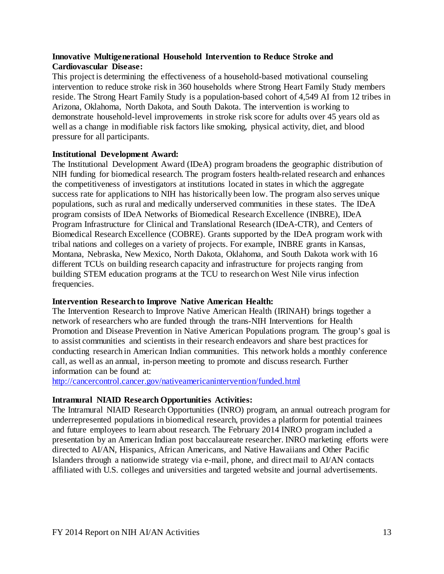#### <span id="page-13-0"></span>**Innovative Multigenerational Household Intervention to Reduce Stroke and Cardiovascular Disease:**

This project is determining the effectiveness of a household-based motivational counseling intervention to reduce stroke risk in 360 households where Strong Heart Family Study members reside. The Strong Heart Family Study is a population-based cohort of 4,549 AI from 12 tribes in Arizona, Oklahoma, North Dakota, and South Dakota. The intervention is working to demonstrate household-level improvements in stroke risk score for adults over 45 years old as well as a change in modifiable risk factors like smoking, physical activity, diet, and blood pressure for all participants.

#### <span id="page-13-1"></span>**Institutional Development Award:**

The Institutional Development Award (IDeA) program broadens the geographic distribution of NIH funding for biomedical research. The program fosters health-related research and enhances the competitiveness of investigators at institutions located in states in which the aggregate success rate for applications to NIH has historically been low. The program also serves unique populations, such as rural and medically underserved communities in these states. The IDeA program consists of IDeA Networks of Biomedical Research Excellence (INBRE), IDeA Program Infrastructure for Clinical and Translational Research (IDeA-CTR), and Centers of Biomedical Research Excellence (COBRE). Grants supported by the IDeA program work with tribal nations and colleges on a variety of projects. For example, INBRE grants in Kansas, Montana, Nebraska, New Mexico, North Dakota, Oklahoma, and South Dakota work with 16 different TCUs on building research capacity and infrastructure for projects ranging from building STEM education programs at the TCU to research on West Nile virus infection frequencies.

# <span id="page-13-2"></span>**Intervention Research to Improve Native American Health:**

The Intervention Research to Improve Native American Health (IRINAH) brings together a network of researchers who are funded through the trans-NIH Interventions for Health Promotion and Disease Prevention in Native American Populations program. The group's goal is to assist communities and scientists in their research endeavors and share best practices for conducting research in American Indian communities. This network holds a monthly conference call, as well as an annual, in-person meeting to promote and discuss research. Further information can be found at:

<http://cancercontrol.cancer.gov/nativeamericanintervention/funded.html>

# <span id="page-13-3"></span>**Intramural NIAID Research Opportunities Activities:**

The Intramural NIAID Research Opportunities (INRO) program, an annual outreach program for underrepresented populations in biomedical research, provides a platform for potential trainees and future employees to learn about research. The February 2014 INRO program included a presentation by an American Indian post baccalaureate researcher. INRO marketing efforts were directed to AI/AN, Hispanics, African Americans, and Native Hawaiians and Other Pacific Islanders through a nationwide strategy via e-mail, phone, and direct mail to AI/AN contacts affiliated with U.S. colleges and universities and targeted website and journal advertisements.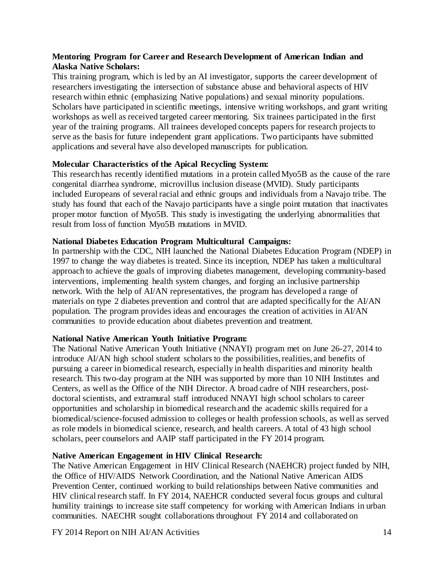#### <span id="page-14-0"></span>**Mentoring Program for Career and Research Development of American Indian and Alaska Native Scholars:**

This training program, which is led by an AI investigator, supports the career development of researchers investigating the intersection of substance abuse and behavioral aspects of HIV research within ethnic (emphasizing Native populations) and sexual minority populations. Scholars have participated in scientific meetings, intensive writing workshops, and grant writing workshops as well as received targeted career mentoring. Six trainees participated in the first year of the training programs. All trainees developed concepts papers for research projects to serve as the basis for future independent grant applications. Two participants have submitted applications and several have also developed manuscripts for publication.

# <span id="page-14-1"></span>**Molecular Characteristics of the Apical Recycling System:**

This research has recently identified mutations in a protein called Myo5B as the cause of the rare congenital diarrhea syndrome, microvillus inclusion disease (MVID). Study participants included Europeans of several racial and ethnic groups and individuals from a Navajo tribe. The study has found that each of the Navajo participants have a single point mutation that inactivates proper motor function of Myo5B. This study is investigating the underlying abnormalities that result from loss of function Myo5B mutations in MVID.

# <span id="page-14-2"></span>**National Diabetes Education Program Multicultural Campaigns:**

In partnership with the CDC, NIH launched the National Diabetes Education Program (NDEP) in 1997 to change the way diabetes is treated. Since its inception, NDEP has taken a multicultural approach to achieve the goals of improving diabetes management, developing community-based interventions, implementing health system changes, and forging an inclusive partnership network. With the help of AI/AN representatives, the program has developed a range of materials on type 2 diabetes prevention and control that are adapted specifically for the AI/AN population. The program provides ideas and encourages the creation of activities in AI/AN communities to provide education about diabetes prevention and treatment.

# <span id="page-14-3"></span>**National Native American Youth Initiative Program:**

The National Native American Youth Initiative (NNAYI) program met on June 26-27, 2014 to introduce AI/AN high school student scholars to the possibilities, realities, and benefits of pursuing a career in biomedical research, especially in health disparities and minority health research. This two-day program at the NIH was supported by more than 10 NIH Institutes and Centers, as well as the Office of the NIH Director. A broad cadre of NIH researchers, postdoctoral scientists, and extramural staff introduced NNAYI high school scholars to career opportunities and scholarship in biomedical research and the academic skills required for a biomedical/science-focused admission to colleges or health profession schools, as well as served as role models in biomedical science, research, and health careers. A total of 43 high school scholars, peer counselors and AAIP staff participated in the FY 2014 program.

# <span id="page-14-4"></span>**Native American Engagement in HIV Clinical Research:**

The Native American Engagement in HIV Clinical Research (NAEHCR) project funded by NIH, the Office of HIV/AIDS Network Coordination, and the National Native American AIDS Prevention Center, continued working to build relationships between Native communities and HIV clinical research staff. In FY 2014, NAEHCR conducted several focus groups and cultural humility trainings to increase site staff competency for working with American Indians in urban communities. NAECHR sought collaborations throughout FY 2014 and collaborated on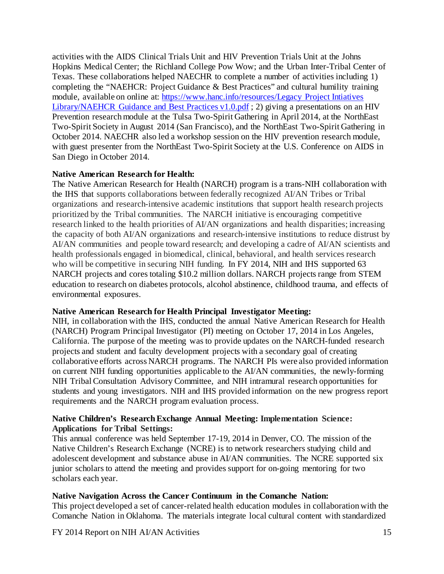activities with the AIDS Clinical Trials Unit and HIV Prevention Trials Unit at the Johns Hopkins Medical Center; the Richland College Pow Wow; and the Urban Inter-Tribal Center of Texas. These collaborations helped NAECHR to complete a number of activities including 1) completing the "NAEHCR: Project Guidance & Best Practices" and cultural humility training module, available on online at: [https://www.hanc.info/resources/Legacy Project Intiatives](https://www.hanc.info/resources/Legacy%20Project%20Intiatives%20Library/NAEHCR%20Guidance%20and%20Best%20Practices%20v1.0.pdf)  [Library/NAEHCR Guidance and Best Practices v1.0.pdf](https://www.hanc.info/resources/Legacy%20Project%20Intiatives%20Library/NAEHCR%20Guidance%20and%20Best%20Practices%20v1.0.pdf) ; 2) giving a presentations on an HIV Prevention research module at the Tulsa Two-Spirit Gathering in April 2014, at the NorthEast Two-Spirit Society in August 2014 (San Francisco), and the NorthEast Two-Spirit Gathering in October 2014. NAECHR also led a workshop session on the HIV prevention research module, with guest presenter from the NorthEast Two-Spirit Society at the U.S. Conference on AIDS in San Diego in October 2014.

#### <span id="page-15-0"></span>**Native American Research for Health:**

The Native American Research for Health (NARCH) program is a trans-NIH collaboration with the IHS that supports collaborations between federally recognized AI/AN Tribes or Tribal organizations and research-intensive academic institutions that support health research projects prioritized by the Tribal communities. The NARCH initiative is encouraging competitive research linked to the health priorities of AI/AN organizations and health disparities; increasing the capacity of both AI/AN organizations and research-intensive institutions to reduce distrust by AI/AN communities and people toward research; and developing a cadre of AI/AN scientists and health professionals engaged in biomedical, clinical, behavioral, and health services research who will be competitive in securing NIH funding. In FY 2014, NIH and IHS supported 63 NARCH projects and cores totaling \$10.2 million dollars. NARCH projects range from STEM education to research on diabetes protocols, alcohol abstinence, childhood trauma, and effects of environmental exposures.

#### <span id="page-15-1"></span>**Native American Research for Health Principal Investigator Meeting:**

NIH, in collaboration with the IHS, conducted the annual Native American Research for Health (NARCH) Program Principal Investigator (PI) meeting on October 17, 2014 in Los Angeles, California. The purpose of the meeting was to provide updates on the NARCH-funded research projects and student and faculty development projects with a secondary goal of creating collaborative efforts across NARCH programs. The NARCH PIs were also provided information on current NIH funding opportunities applicable to the AI/AN communities, the newly-forming NIH Tribal Consultation Advisory Committee, and NIH intramural research opportunities for students and young investigators. NIH and IHS provided information on the new progress report requirements and the NARCH program evaluation process.

#### <span id="page-15-2"></span>**Native Children's Research Exchange Annual Meeting: Implementation Science: Applications for Tribal Settings:**

This annual conference was held September 17-19, 2014 in Denver, CO. The mission of the Native Children's Research Exchange (NCRE) is to network researchers studying child and adolescent development and substance abuse in AI/AN communities. The NCRE supported six junior scholars to attend the meeting and provides support for on-going mentoring for two scholars each year.

# <span id="page-15-3"></span>**Native Navigation Across the Cancer Continuum in the Comanche Nation:**

This project developed a set of cancer-related health education modules in collaboration with the Comanche Nation in Oklahoma. The materials integrate local cultural content with standardized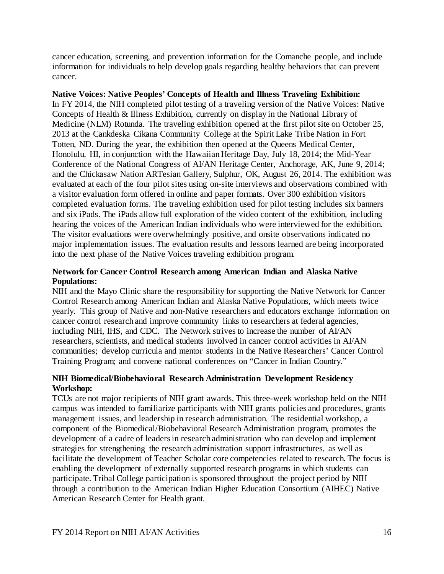cancer education, screening, and prevention information for the Comanche people, and include information for individuals to help develop goals regarding healthy behaviors that can prevent cancer.

<span id="page-16-0"></span>**Native Voices: Native Peoples' Concepts of Health and Illness Traveling Exhibition:** In FY 2014, the NIH completed pilot testing of a traveling version of the Native Voices: Native Concepts of Health & Illness Exhibition, currently on display in the National Library of Medicine (NLM) Rotunda. The traveling exhibition opened at the first pilot site on October 25, 2013 at the Cankdeska Cikana Community College at the Spirit Lake Tribe Nation in Fort Totten, ND. During the year, the exhibition then opened at the Queens Medical Center, Honolulu, HI, in conjunction with the Hawaiian Heritage Day, July 18, 2014; the Mid-Year Conference of the National Congress of AI/AN Heritage Center, Anchorage, AK, June 9, 2014; and the Chickasaw Nation ARTesian Gallery, Sulphur, OK, August 26, 2014. The exhibition was evaluated at each of the four pilot sites using on-site interviews and observations combined with a visitor evaluation form offered in online and paper formats. Over 300 exhibition visitors completed evaluation forms. The traveling exhibition used for pilot testing includes six banners and six iPads. The iPads allow full exploration of the video content of the exhibition, including hearing the voices of the American Indian individuals who were interviewed for the exhibition. The visitor evaluations were overwhelmingly positive, and onsite observations indicated no major implementation issues. The evaluation results and lessons learned are being incorporated into the next phase of the Native Voices traveling exhibition program.

# <span id="page-16-1"></span>**Network for Cancer Control Research among American Indian and Alaska Native Populations:**

NIH and the Mayo Clinic share the responsibility for supporting the Native Network for Cancer Control Research among American Indian and Alaska Native Populations, which meets twice yearly. This group of Native and non-Native researchers and educators exchange information on cancer control research and improve community links to researchers at federal agencies, including NIH, IHS, and CDC. The Network strives to increase the number of AI/AN researchers, scientists, and medical students involved in cancer control activities in AI/AN communities; develop curricula and mentor students in the Native Researchers' Cancer Control Training Program; and convene national conferences on "Cancer in Indian Country."

#### <span id="page-16-2"></span>**NIH Biomedical/Biobehavioral Research Administration Development Residency Workshop:**

TCUs are not major recipients of NIH grant awards. This three-week workshop held on the NIH campus was intended to familiarize participants with NIH grants policies and procedures, grants management issues, and leadership in research administration. The residential workshop, a component of the Biomedical/Biobehavioral Research Administration program, promotes the development of a cadre of leaders in research administration who can develop and implement strategies for strengthening the research administration support infrastructures, as well as facilitate the development of Teacher Scholar core competencies related to research. The focus is enabling the development of externally supported research programs in which students can participate. Tribal College participation is sponsored throughout the project period by NIH through a contribution to the American Indian Higher Education Consortium (AIHEC) Native American Research Center for Health grant.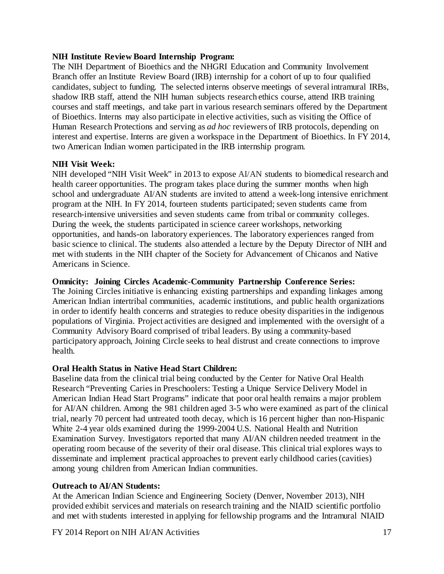#### <span id="page-17-0"></span>**NIH Institute Review Board Internship Program:**

The NIH Department of Bioethics and the NHGRI Education and Community Involvement Branch offer an Institute Review Board (IRB) internship for a cohort of up to four qualified candidates, subject to funding. The selected interns observe meetings of several intramural IRBs, shadow IRB staff, attend the NIH human subjects research ethics course, attend IRB training courses and staff meetings, and take part in various research seminars offered by the Department of Bioethics. Interns may also participate in elective activities, such as visiting the Office of Human Research Protections and serving as *ad hoc* reviewers of IRB protocols, depending on interest and expertise. Interns are given a workspace in the Department of Bioethics. In FY 2014, two American Indian women participated in the IRB internship program.

#### <span id="page-17-1"></span>**NIH Visit Week:**

NIH developed "NIH Visit Week" in 2013 to expose AI/AN students to biomedical research and health career opportunities. The program takes place during the summer months when high school and undergraduate AI/AN students are invited to attend a week-long intensive enrichment program at the NIH. In FY 2014, fourteen students participated; seven students came from research-intensive universities and seven students came from tribal or community colleges. During the week, the students participated in science career workshops, networking opportunities, and hands-on laboratory experiences. The laboratory experiences ranged from basic science to clinical. The students also attended a lecture by the Deputy Director of NIH and met with students in the NIH chapter of the Society for Advancement of Chicanos and Native Americans in Science.

#### <span id="page-17-2"></span>**Omnicity: Joining Circles Academic-Community Partnership Conference Series:**

The Joining Circles initiative is enhancing existing partnerships and expanding linkages among American Indian intertribal communities, academic institutions, and public health organizations in order to identify health concerns and strategies to reduce obesity disparities in the indigenous populations of Virginia. Project activities are designed and implemented with the oversight of a Community Advisory Board comprised of tribal leaders. By using a community-based participatory approach, Joining Circle seeks to heal distrust and create connections to improve health.

# <span id="page-17-3"></span>**Oral Health Status in Native Head Start Children:**

Baseline data from the clinical trial being conducted by the Center for Native Oral Health Research "Preventing Caries in Preschoolers: Testing a Unique Service Delivery Model in American Indian Head Start Programs" indicate that poor oral health remains a major problem for AI/AN children. Among the 981 children aged 3-5 who were examined as part of the clinical trial, nearly 70 percent had untreated tooth decay, which is 16 percent higher than non-Hispanic White 2-4 year olds examined during the 1999-2004 U.S. National Health and Nutrition Examination Survey. Investigators reported that many AI/AN children needed treatment in the operating room because of the severity of their oral disease. This clinical trial explores ways to disseminate and implement practical approaches to prevent early childhood caries (cavities) among young children from American Indian communities.

# <span id="page-17-4"></span>**Outreach to AI/AN Students:**

At the American Indian Science and Engineering Society (Denver, November 2013), NIH provided exhibit services and materials on research training and the NIAID scientific portfolio and met with students interested in applying for fellowship programs and the Intramural NIAID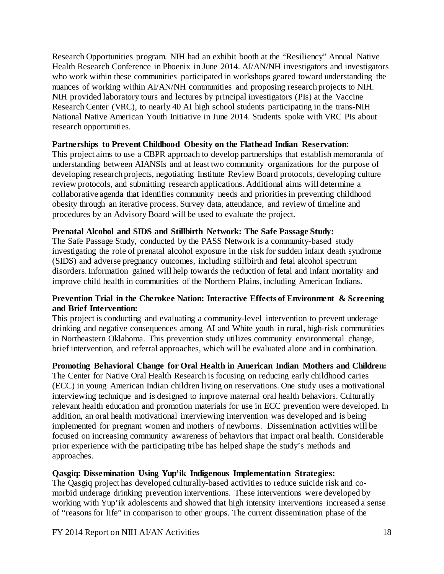Research Opportunities program. NIH had an exhibit booth at the "Resiliency" Annual Native Health Research Conference in Phoenix in June 2014. AI/AN/NH investigators and investigators who work within these communities participated in workshops geared toward understanding the nuances of working within AI/AN/NH communities and proposing research projects to NIH. NIH provided laboratory tours and lectures by principal investigators (PIs) at the Vaccine Research Center (VRC), to nearly 40 AI high school students participating in the trans-NIH National Native American Youth Initiative in June 2014. Students spoke with VRC PIs about research opportunities.

#### <span id="page-18-0"></span>**Partnerships to Prevent Childhood Obesity on the Flathead Indian Reservation:**

This project aims to use a CBPR approach to develop partnerships that establish memoranda of understanding between AIANSIs and at least two community organizations for the purpose of developing research projects, negotiating Institute Review Board protocols, developing culture review protocols, and submitting research applications. Additional aims will determine a collaborative agenda that identifies community needs and priorities in preventing childhood obesity through an iterative process. Survey data, attendance, and review of timeline and procedures by an Advisory Board will be used to evaluate the project.

#### <span id="page-18-1"></span>**Prenatal Alcohol and SIDS and Stillbirth Network: The Safe Passage Study:**

The Safe Passage Study, conducted by the PASS Network is a community-based study investigating the role of prenatal alcohol exposure in the risk for sudden infant death syndrome (SIDS) and adverse pregnancy outcomes, including stillbirth and fetal alcohol spectrum disorders. Information gained will help towards the reduction of fetal and infant mortality and improve child health in communities of the Northern Plains, including American Indians.

# <span id="page-18-2"></span>**Prevention Trial in the Cherokee Nation: Interactive Effects of Environment & Screening and Brief Intervention:**

This project is conducting and evaluating a community-level intervention to prevent underage drinking and negative consequences among AI and White youth in rural, high-risk communities in Northeastern Oklahoma. This prevention study utilizes community environmental change, brief intervention, and referral approaches, which will be evaluated alone and in combination.

# <span id="page-18-3"></span>**Promoting Behavioral Change for Oral Health in American Indian Mothers and Children:**

The Center for Native Oral Health Research is focusing on reducing early childhood caries (ECC) in young American Indian children living on reservations. One study uses a motivational interviewing technique and is designed to improve maternal oral health behaviors. Culturally relevant health education and promotion materials for use in ECC prevention were developed. In addition, an oral health motivational interviewing intervention was developed and is being implemented for pregnant women and mothers of newborns. Dissemination activities will be focused on increasing community awareness of behaviors that impact oral health. Considerable prior experience with the participating tribe has helped shape the study's methods and approaches.

# <span id="page-18-4"></span>**Qasgiq: Dissemination Using Yup'ik Indigenous Implementation Strategies:**

The Qasgiq project has developed culturally-based activities to reduce suicide risk and comorbid underage drinking prevention interventions. These interventions were developed by working with Yup'ik adolescents and showed that high intensity interventions increased a sense of "reasons for life" in comparison to other groups. The current dissemination phase of the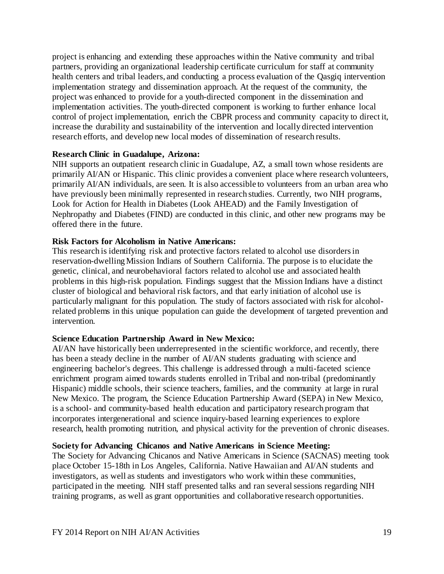project is enhancing and extending these approaches within the Native community and tribal partners, providing an organizational leadership certificate curriculum for staff at community health centers and tribal leaders, and conducting a process evaluation of the Qasgiq intervention implementation strategy and dissemination approach. At the request of the community, the project was enhanced to provide for a youth-directed component in the dissemination and implementation activities. The youth-directed component is working to further enhance local control of project implementation, enrich the CBPR process and community capacity to direct it, increase the durability and sustainability of the intervention and locally directed intervention research efforts, and develop new local modes of dissemination of research results.

#### <span id="page-19-0"></span>**Research Clinic in Guadalupe, Arizona:**

NIH supports an outpatient research clinic in Guadalupe, AZ, a small town whose residents are primarily AI/AN or Hispanic. This clinic provides a convenient place where research volunteers, primarily AI/AN individuals, are seen. It is also accessible to volunteers from an urban area who have previously been minimally represented in research studies. Currently, two NIH programs, Look for Action for Health in Diabetes (Look AHEAD) and the Family Investigation of Nephropathy and Diabetes (FIND) are conducted in this clinic, and other new programs may be offered there in the future.

#### <span id="page-19-1"></span>**Risk Factors for Alcoholism in Native Americans:**

This research is identifying risk and protective factors related to alcohol use disorders in reservation-dwelling Mission Indians of Southern California. The purpose is to elucidate the genetic, clinical, and neurobehavioral factors related to alcohol use and associated health problems in this high-risk population. Findings suggest that the Mission Indians have a distinct cluster of biological and behavioral risk factors, and that early initiation of alcohol use is particularly malignant for this population. The study of factors associated with risk for alcoholrelated problems in this unique population can guide the development of targeted prevention and intervention.

# <span id="page-19-2"></span>**Science Education Partnership Award in New Mexico:**

AI/AN have historically been underrepresented in the scientific workforce, and recently, there has been a steady decline in the number of AI/AN students graduating with science and engineering bachelor's degrees. This challenge is addressed through a multi-faceted science enrichment program aimed towards students enrolled in Tribal and non-tribal (predominantly Hispanic) middle schools, their science teachers, families, and the community at large in rural New Mexico. The program, the Science Education Partnership Award (SEPA) in New Mexico, is a school- and community-based health education and participatory research program that incorporates intergenerational and science inquiry-based learning experiences to explore research, health promoting nutrition, and physical activity for the prevention of chronic diseases.

#### <span id="page-19-3"></span>**Society for Advancing Chicanos and Native Americans in Science Meeting:**

The Society for Advancing Chicanos and Native Americans in Science (SACNAS) meeting took place October 15-18th in Los Angeles, California. Native Hawaiian and AI/AN students and investigators, as well as students and investigators who work within these communities, participated in the meeting. NIH staff presented talks and ran several sessions regarding NIH training programs, as well as grant opportunities and collaborative research opportunities.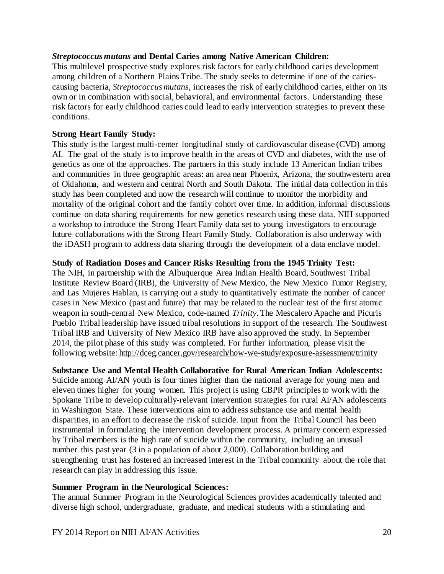#### <span id="page-20-0"></span>*Streptococcus mutans* **and Dental Caries among Native American Children:**

This multilevel prospective study explores risk factors for early childhood caries development among children of a Northern Plains Tribe. The study seeks to determine if one of the cariescausing bacteria, *Streptococcus mutans*, increases the risk of early childhood caries, either on its own or in combination with social, behavioral, and environmental factors. Understanding these risk factors for early childhood caries could lead to early intervention strategies to prevent these conditions.

#### <span id="page-20-1"></span>**Strong Heart Family Study:**

This study is the largest multi-center longitudinal study of cardiovascular disease (CVD) among AI. The goal of the study is to improve health in the areas of CVD and diabetes, with the use of genetics as one of the approaches. The partners in this study include 13 American Indian tribes and communities in three geographic areas: an area near Phoenix, Arizona, the southwestern area of Oklahoma, and western and central North and South Dakota. The initial data collection in this study has been completed and now the research will continue to monitor the morbidity and mortality of the original cohort and the family cohort over time. In addition, informal discussions continue on data sharing requirements for new genetics research using these data. NIH supported a workshop to introduce the Strong Heart Family data set to young investigators to encourage future collaborations with the Strong Heart Family Study. Collaboration is also underway with the iDASH program to address data sharing through the development of a data enclave model.

#### <span id="page-20-2"></span>**Study of Radiation Doses and Cancer Risks Resulting from the 1945 Trinity Test:**

The NIH, in partnership with the Albuquerque Area Indian Health Board, Southwest Tribal Institute Review Board (IRB), the University of New Mexico, the New Mexico Tumor Registry, and Las Mujeres Hablan, is carrying out a study to quantitatively estimate the number of cancer cases in New Mexico (past and future) that may be related to the nuclear test of the first atomic weapon in south-central New Mexico, code-named *Trinity*. The Mescalero Apache and Picuris Pueblo Tribal leadership have issued tribal resolutions in support of the research. The Southwest Tribal IRB and University of New Mexico IRB have also approved the study. In September 2014, the pilot phase of this study was completed. For further information, please visit the following website[: http://dceg.cancer.gov/research/how-we-study/exposure-assessment/trinity](http://dceg.cancer.gov/research/how-we-study/exposure-assessment/trinity) 

<span id="page-20-3"></span>**Substance Use and Mental Health Collaborative for Rural American Indian Adolescents:**  Suicide among AI/AN youth is four times higher than the national average for young men and eleven times higher for young women. This project is using CBPR principles to work with the Spokane Tribe to develop culturally-relevant intervention strategies for rural AI/AN adolescents in Washington State. These interventions aim to address substance use and mental health disparities, in an effort to decrease the risk of suicide. Input from the Tribal Council has been instrumental in formulating the intervention development process. A primary concern expressed by Tribal members is the high rate of suicide within the community, including an unusual number this past year (3 in a population of about 2,000). Collaboration building and strengthening trust has fostered an increased interest in the Tribal community about the role that research can play in addressing this issue.

#### <span id="page-20-4"></span>**Summer Program in the Neurological Sciences:**

The annual Summer Program in the Neurological Sciences provides academically talented and diverse high school, undergraduate, graduate, and medical students with a stimulating and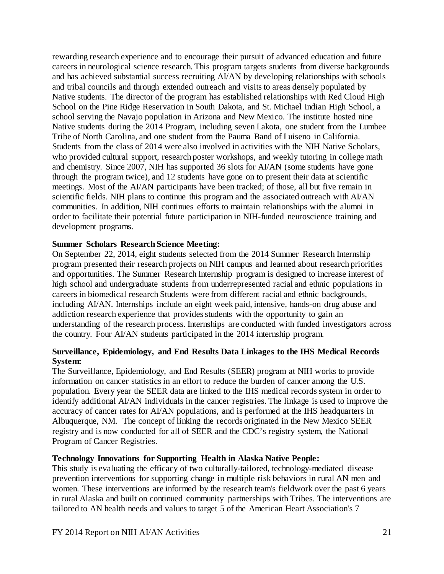rewarding research experience and to encourage their pursuit of advanced education and future careers in neurological science research. This program targets students from diverse backgrounds and has achieved substantial success recruiting AI/AN by developing relationships with schools and tribal councils and through extended outreach and visits to areas densely populated by Native students. The director of the program has established relationships with Red Cloud High School on the Pine Ridge Reservation in South Dakota, and St. Michael Indian High School, a school serving the Navajo population in Arizona and New Mexico. The institute hosted nine Native students during the 2014 Program, including seven Lakota, one student from the Lumbee Tribe of North Carolina, and one student from the Pauma Band of Luiseno in California. Students from the class of 2014 were also involved in activities with the NIH Native Scholars, who provided cultural support, research poster workshops, and weekly tutoring in college math and chemistry. Since 2007, NIH has supported 36 slots for AI/AN (some students have gone through the program twice), and 12 students have gone on to present their data at scientific meetings. Most of the AI/AN participants have been tracked; of those, all but five remain in scientific fields. NIH plans to continue this program and the associated outreach with AI/AN communities. In addition, NIH continues efforts to maintain relationships with the alumni in order to facilitate their potential future participation in NIH-funded neuroscience training and development programs.

#### <span id="page-21-0"></span>**Summer Scholars Research Science Meeting:**

On September 22, 2014, eight students selected from the 2014 Summer Research Internship program presented their research projects on NIH campus and learned about research priorities and opportunities. The Summer Research Internship program is designed to increase interest of high school and undergraduate students from underrepresented racial and ethnic populations in careers in biomedical research Students were from different racial and ethnic backgrounds, including AI/AN. Internships include an eight week paid, intensive, hands-on drug abuse and addiction research experience that provides students with the opportunity to gain an understanding of the research process. Internships are conducted with funded investigators across the country. Four AI/AN students participated in the 2014 internship program.

#### <span id="page-21-1"></span>**Surveillance, Epidemiology, and End Results Data Linkages to the IHS Medical Records System:**

The Surveillance, Epidemiology, and End Results (SEER) program at NIH works to provide information on cancer statistics in an effort to reduce the burden of cancer among the U.S. population. Every year the SEER data are linked to the IHS medical records system in order to identify additional AI/AN individuals in the cancer registries. The linkage is used to improve the accuracy of cancer rates for AI/AN populations, and is performed at the IHS headquarters in Albuquerque, NM. The concept of linking the records originated in the New Mexico SEER registry and is now conducted for all of SEER and the CDC's registry system, the National Program of Cancer Registries.

#### <span id="page-21-2"></span>**Technology Innovations for Supporting Health in Alaska Native People:**

This study is evaluating the efficacy of two culturally-tailored, technology-mediated disease prevention interventions for supporting change in multiple risk behaviors in rural AN men and women. These interventions are informed by the research team's fieldwork over the past 6 years in rural Alaska and built on continued community partnerships with Tribes. The interventions are tailored to AN health needs and values to target 5 of the American Heart Association's 7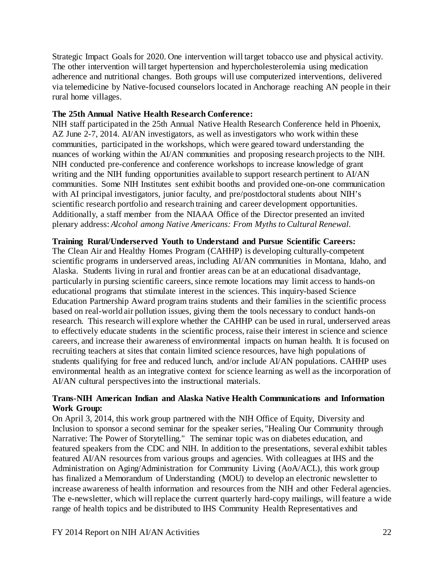Strategic Impact Goals for 2020. One intervention will target tobacco use and physical activity. The other intervention will target hypertension and hypercholesterolemia using medication adherence and nutritional changes. Both groups will use computerized interventions, delivered via telemedicine by Native-focused counselors located in Anchorage reaching AN people in their rural home villages.

# <span id="page-22-0"></span>**The 25th Annual Native Health Research Conference:**

NIH staff participated in the 25th Annual Native Health Research Conference held in Phoenix, AZ June 2-7, 2014. AI/AN investigators, as well as investigators who work within these communities, participated in the workshops, which were geared toward understanding the nuances of working within the AI/AN communities and proposing research projects to the NIH. NIH conducted pre-conference and conference workshops to increase knowledge of grant writing and the NIH funding opportunities available to support research pertinent to AI/AN communities. Some NIH Institutes sent exhibit booths and provided one-on-one communication with AI principal investigators, junior faculty, and pre/postdoctoral students about NIH's scientific research portfolio and research training and career development opportunities. Additionally, a staff member from the NIAAA Office of the Director presented an invited plenary address: *Alcohol among Native Americans: From Myths to Cultural Renewal.*

#### <span id="page-22-1"></span>**Training Rural/Underserved Youth to Understand and Pursue Scientific Careers:**

The Clean Air and Healthy Homes Program (CAHHP) is developing culturally-competent scientific programs in underserved areas, including AI/AN communities in Montana, Idaho, and Alaska. Students living in rural and frontier areas can be at an educational disadvantage, particularly in pursing scientific careers, since remote locations may limit access to hands-on educational programs that stimulate interest in the sciences. This inquiry-based Science Education Partnership Award program trains students and their families in the scientific process based on real-world air pollution issues, giving them the tools necessary to conduct hands-on research. This research will explore whether the CAHHP can be used in rural, underserved areas to effectively educate students in the scientific process, raise their interest in science and science careers, and increase their awareness of environmental impacts on human health. It is focused on recruiting teachers at sites that contain limited science resources, have high populations of students qualifying for free and reduced lunch, and/or include AI/AN populations. CAHHP uses environmental health as an integrative context for science learning as well as the incorporation of AI/AN cultural perspectives into the instructional materials.

#### <span id="page-22-2"></span>**Trans-NIH American Indian and Alaska Native Health Communications and Information Work Group:**

On April 3, 2014, this work group partnered with the NIH Office of Equity, Diversity and Inclusion to sponsor a second seminar for the speaker series, "Healing Our Community through Narrative: The Power of Storytelling." The seminar topic was on diabetes education, and featured speakers from the CDC and NIH. In addition to the presentations, several exhibit tables featured AI/AN resources from various groups and agencies. With colleagues at IHS and the Administration on Aging/Administration for Community Living (AoA/ACL), this work group has finalized a Memorandum of Understanding (MOU) to develop an electronic newsletter to increase awareness of health information and resources from the NIH and other Federal agencies. The e-newsletter, which will replace the current quarterly hard-copy mailings, will feature a wide range of health topics and be distributed to IHS Community Health Representatives and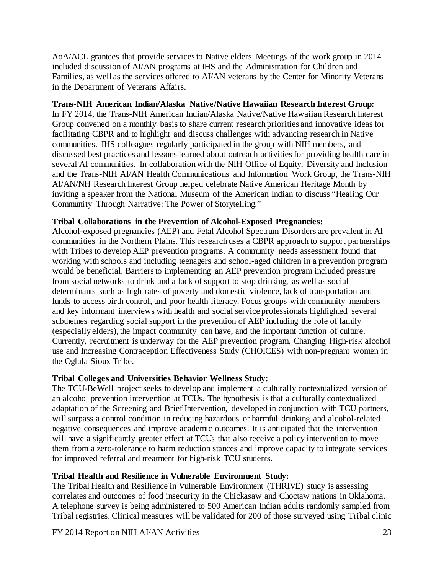AoA/ACL grantees that provide services to Native elders. Meetings of the work group in 2014 included discussion of AI/AN programs at IHS and the Administration for Children and Families, as well as the services offered to AI/AN veterans by the Center for Minority Veterans in the Department of Veterans Affairs.

# <span id="page-23-0"></span>**Trans-NIH American Indian/Alaska Native/Native Hawaiian Research Interest Group:**

In FY 2014, the Trans-NIH American Indian/Alaska Native/Native Hawaiian Research Interest Group convened on a monthly basis to share current research priorities and innovative ideas for facilitating CBPR and to highlight and discuss challenges with advancing research in Native communities. IHS colleagues regularly participated in the group with NIH members, and discussed best practices and lessons learned about outreach activities for providing health care in several AI communities. In collaboration with the NIH Office of Equity, Diversity and Inclusion and the Trans-NIH AI/AN Health Communications and Information Work Group, the Trans-NIH AI/AN/NH Research Interest Group helped celebrate Native American Heritage Month by inviting a speaker from the National Museum of the American Indian to discuss "Healing Our Community Through Narrative: The Power of Storytelling."

#### <span id="page-23-1"></span>**Tribal Collaborations in the Prevention of Alcohol-Exposed Pregnancies:**

Alcohol-exposed pregnancies (AEP) and Fetal Alcohol Spectrum Disorders are prevalent in AI communities in the Northern Plains. This research uses a CBPR approach to support partnerships with Tribes to develop AEP prevention programs. A community needs assessment found that working with schools and including teenagers and school-aged children in a prevention program would be beneficial. Barriers to implementing an AEP prevention program included pressure from social networks to drink and a lack of support to stop drinking, as well as social determinants such as high rates of poverty and domestic violence, lack of transportation and funds to access birth control, and poor health literacy. Focus groups with community members and key informant interviews with health and social service professionals highlighted several subthemes regarding social support in the prevention of AEP including the role of family (especially elders), the impact community can have, and the important function of culture. Currently, recruitment is underway for the AEP prevention program, Changing High-risk alcohol use and Increasing Contraception Effectiveness Study (CHOICES) with non-pregnant women in the Oglala Sioux Tribe.

# <span id="page-23-2"></span>**Tribal Colleges and Universities Behavior Wellness Study:**

The TCU-BeWell project seeks to develop and implement a culturally contextualized version of an alcohol prevention intervention at TCUs. The hypothesis is that a culturally contextualized adaptation of the Screening and Brief Intervention, developed in conjunction with TCU partners, will surpass a control condition in reducing hazardous or harmful drinking and alcohol-related negative consequences and improve academic outcomes. It is anticipated that the intervention will have a significantly greater effect at TCUs that also receive a policy intervention to move them from a zero-tolerance to harm reduction stances and improve capacity to integrate services for improved referral and treatment for high-risk TCU students.

# <span id="page-23-3"></span>**Tribal Health and Resilience in Vulnerable Environment Study:**

The Tribal Health and Resilience in Vulnerable Environment (THRIVE) study is assessing correlates and outcomes of food insecurity in the Chickasaw and Choctaw nations in Oklahoma. A telephone survey is being administered to 500 American Indian adults randomly sampled from Tribal registries. Clinical measures will be validated for 200 of those surveyed using Tribal clinic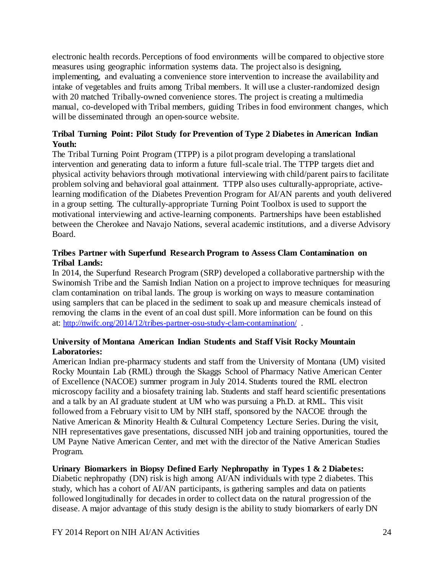electronic health records. Perceptions of food environments will be compared to objective store measures using geographic information systems data. The project also is designing, implementing, and evaluating a convenience store intervention to increase the availability and intake of vegetables and fruits among Tribal members. It will use a cluster-randomized design with 20 matched Tribally-owned convenience stores. The project is creating a multimedia manual, co-developed with Tribal members, guiding Tribes in food environment changes, which will be disseminated through an open-source website.

# <span id="page-24-0"></span>**Tribal Turning Point: Pilot Study for Prevention of Type 2 Diabetes in American Indian Youth:**

The Tribal Turning Point Program (TTPP) is a pilot program developing a translational intervention and generating data to inform a future full-scale trial. The TTPP targets diet and physical activity behaviors through motivational interviewing with child/parent pairs to facilitate problem solving and behavioral goal attainment. TTPP also uses culturally-appropriate, activelearning modification of the Diabetes Prevention Program for AI/AN parents and youth delivered in a group setting. The culturally-appropriate Turning Point Toolbox is used to support the motivational interviewing and active-learning components. Partnerships have been established between the Cherokee and Navajo Nations, several academic institutions, and a diverse Advisory Board.

# <span id="page-24-1"></span>**Tribes Partner with Superfund Research Program to Assess Clam Contamination on Tribal Lands:**

In 2014, the Superfund Research Program (SRP) developed a collaborative partnership with the Swinomish Tribe and the Samish Indian Nation on a project to improve techniques for measuring clam contamination on tribal lands. The group is working on ways to measure contamination using samplers that can be placed in the sediment to soak up and measure chemicals instead of removing the clams in the event of an coal dust spill. More information can be found on this at: <http://nwifc.org/2014/12/tribes-partner-osu-study-clam-contamination/> .

# <span id="page-24-2"></span>**University of Montana American Indian Students and Staff Visit Rocky Mountain Laboratories:**

American Indian pre-pharmacy students and staff from the University of Montana (UM) visited Rocky Mountain Lab (RML) through the Skaggs School of Pharmacy Native American Center of Excellence (NACOE) summer program in July 2014. Students toured the RML electron microscopy facility and a biosafety training lab. Students and staff heard scientific presentations and a talk by an AI graduate student at UM who was pursuing a Ph.D. at RML. This visit followed from a February visit to UM by NIH staff, sponsored by the NACOE through the Native American & Minority Health & Cultural Competency Lecture Series. During the visit, NIH representatives gave presentations, discussed NIH job and training opportunities, toured the UM Payne Native American Center, and met with the director of the Native American Studies Program.

# <span id="page-24-3"></span>**Urinary Biomarkers in Biopsy Defined Early Nephropathy in Types 1 & 2 Diabetes:**

Diabetic nephropathy (DN) risk is high among AI/AN individuals with type 2 diabetes. This study, which has a cohort of AI/AN participants, is gathering samples and data on patients followed longitudinally for decades in order to collect data on the natural progression of the disease. A major advantage of this study design is the ability to study biomarkers of early DN